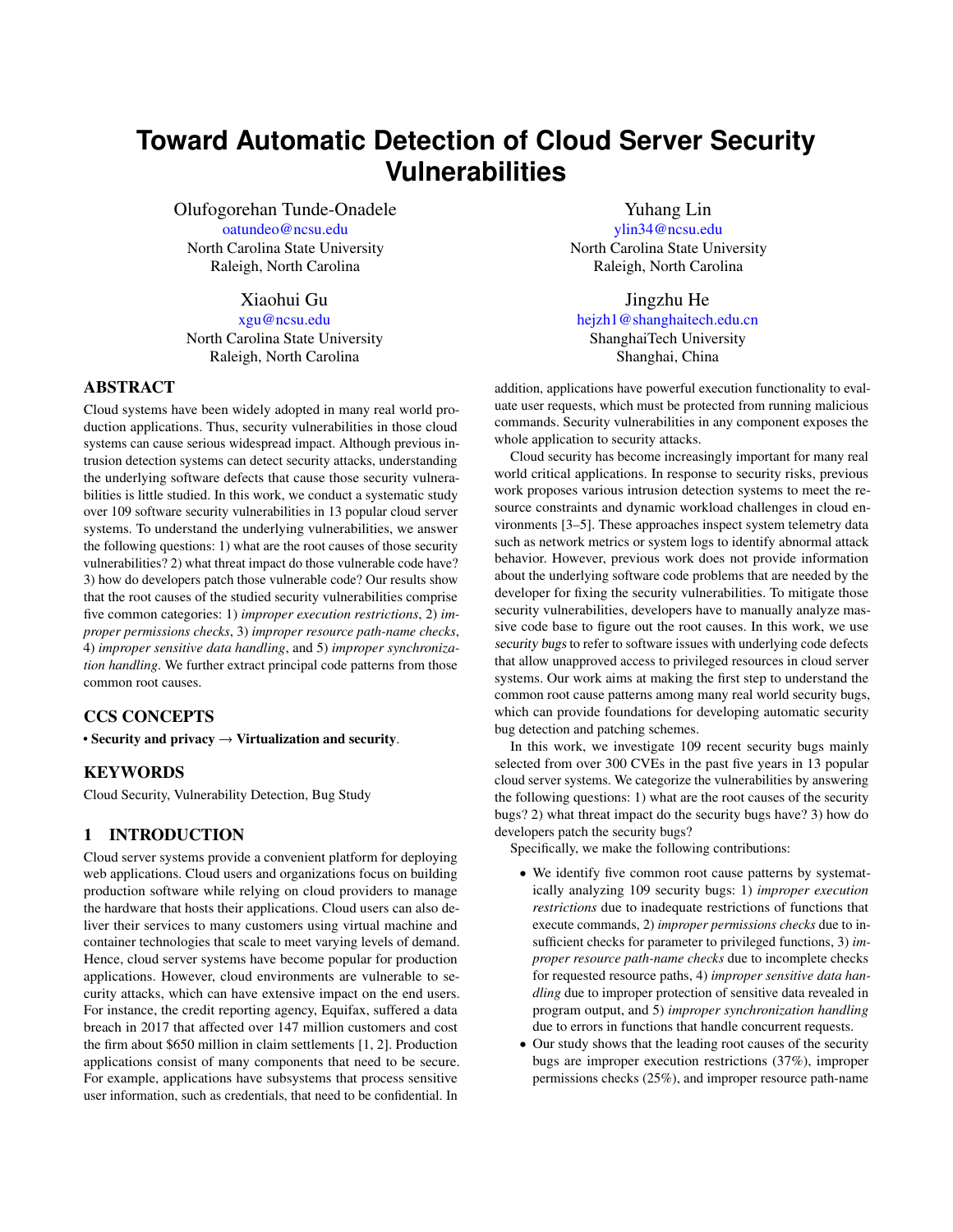# **Toward Automatic Detection of Cloud Server Security Vulnerabilities**

Olufogorehan Tunde-Onadele oatundeo@ncsu.edu North Carolina State University Raleigh, North Carolina

Xiaohui Gu

xgu@ncsu.edu North Carolina State University Raleigh, North Carolina

#### ABSTRACT

Cloud systems have been widely adopted in many real world production applications. Thus, security vulnerabilities in those cloud systems can cause serious widespread impact. Although previous intrusion detection systems can detect security attacks, understanding the underlying software defects that cause those security vulnerabilities is little studied. In this work, we conduct a systematic study over 109 software security vulnerabilities in 13 popular cloud server systems. To understand the underlying vulnerabilities, we answer the following questions: 1) what are the root causes of those security vulnerabilities? 2) what threat impact do those vulnerable code have? 3) how do developers patch those vulnerable code? Our results show that the root causes of the studied security vulnerabilities comprise five common categories: 1) *improper execution restrictions*, 2) *improper permissions checks*, 3) *improper resource path-name checks*, 4) *improper sensitive data handling*, and 5) *improper synchronization handling*. We further extract principal code patterns from those common root causes.

# CCS CONCEPTS

• Security and privacy  $\rightarrow$  Virtualization and security.

# **KEYWORDS**

Cloud Security, Vulnerability Detection, Bug Study

# 1 INTRODUCTION

Cloud server systems provide a convenient platform for deploying web applications. Cloud users and organizations focus on building production software while relying on cloud providers to manage the hardware that hosts their applications. Cloud users can also deliver their services to many customers using virtual machine and container technologies that scale to meet varying levels of demand. Hence, cloud server systems have become popular for production applications. However, cloud environments are vulnerable to security attacks, which can have extensive impact on the end users. For instance, the credit reporting agency, Equifax, suffered a data breach in 2017 that affected over 147 million customers and cost the firm about \$650 million in claim settlements [\[1,](#page-1-0) [2\]](#page-1-1). Production applications consist of many components that need to be secure. For example, applications have subsystems that process sensitive user information, such as credentials, that need to be confidential. In

Yuhang Lin

ylin34@ncsu.edu North Carolina State University Raleigh, North Carolina

Jingzhu He hejzh1@shanghaitech.edu.cn ShanghaiTech University Shanghai, China

addition, applications have powerful execution functionality to evaluate user requests, which must be protected from running malicious commands. Security vulnerabilities in any component exposes the whole application to security attacks.

Cloud security has become increasingly important for many real world critical applications. In response to security risks, previous work proposes various intrusion detection systems to meet the resource constraints and dynamic workload challenges in cloud environments [\[3–](#page-1-2)[5\]](#page-1-3). These approaches inspect system telemetry data such as network metrics or system logs to identify abnormal attack behavior. However, previous work does not provide information about the underlying software code problems that are needed by the developer for fixing the security vulnerabilities. To mitigate those security vulnerabilities, developers have to manually analyze massive code base to figure out the root causes. In this work, we use security bugs to refer to software issues with underlying code defects that allow unapproved access to privileged resources in cloud server systems. Our work aims at making the first step to understand the common root cause patterns among many real world security bugs, which can provide foundations for developing automatic security bug detection and patching schemes.

In this work, we investigate 109 recent security bugs mainly selected from over 300 CVEs in the past five years in 13 popular cloud server systems. We categorize the vulnerabilities by answering the following questions: 1) what are the root causes of the security bugs? 2) what threat impact do the security bugs have? 3) how do developers patch the security bugs?

Specifically, we make the following contributions:

- We identify five common root cause patterns by systematically analyzing 109 security bugs: 1) *improper execution restrictions* due to inadequate restrictions of functions that execute commands, 2) *improper permissions checks* due to insufficient checks for parameter to privileged functions, 3) *improper resource path-name checks* due to incomplete checks for requested resource paths, 4) *improper sensitive data handling* due to improper protection of sensitive data revealed in program output, and 5) *improper synchronization handling* due to errors in functions that handle concurrent requests.
- Our study shows that the leading root causes of the security bugs are improper execution restrictions (37%), improper permissions checks (25%), and improper resource path-name